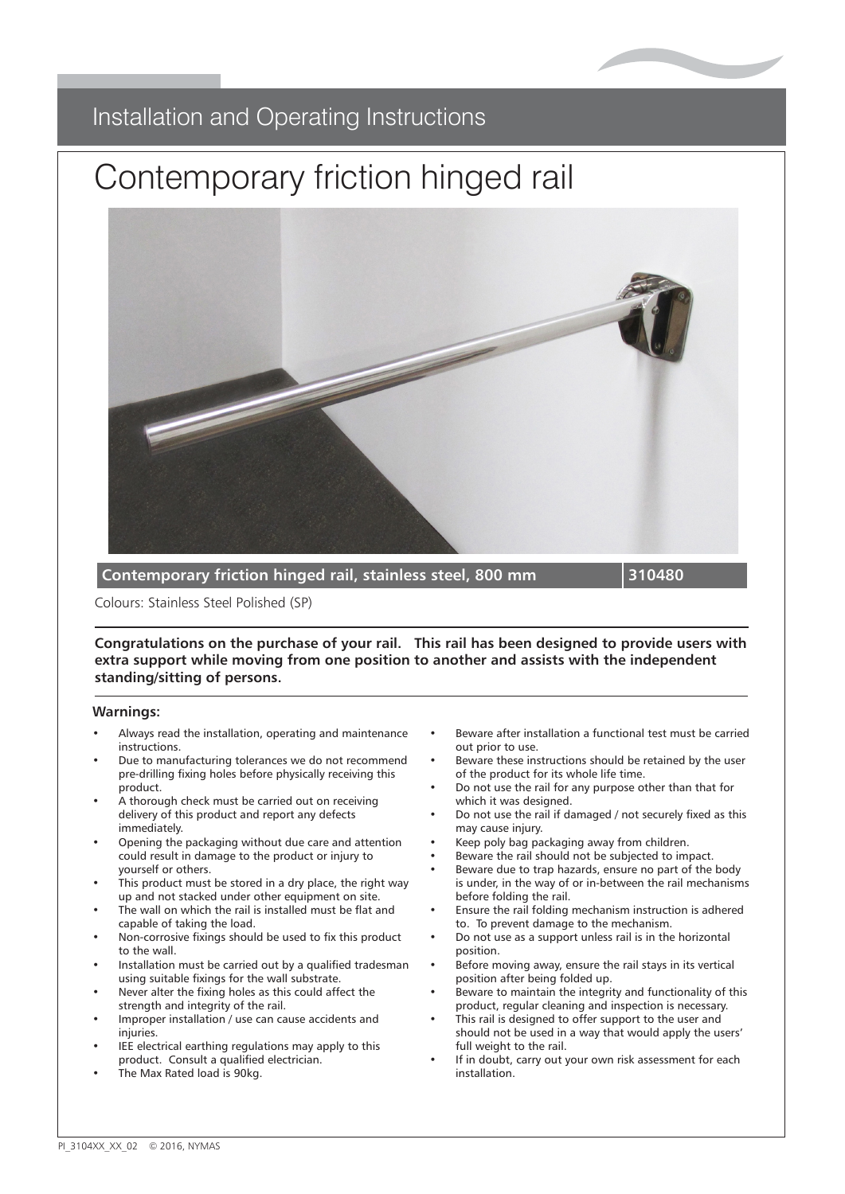

## Installation and Operating Instructions Installation and Operating Instructions

## Contemporary includi Contemporary friction hinged rail



**Contemporary friction hinged rail, stainless steel, 800 mm 310480**

**Plastic Fluted Grab Rail 450mm PFGB 18/XX** Colours: Stainless Steel Polished (SP)

**Polynatulations on the purchase or your rail.** This rail has been designed to provide users with extra support while moving from one position to another and assists with the independent Available colours: WHITE (WH), ELECTRIC BLUE (EB), DARK BLUE (DB), YELLOW (YE), RED (RD) **Congratulations on the purchase of your rail. This rail has been designed to provide users with standing/sitting of persons.**

**Plastic Fluted Grab Rail 600mm PFGB 24/XX**

#### **Warnings:**

- Congratulations on the purchase of your grab rail has been designed for grab rail has been designed for general domestic  $\alpha$ • Always read the installation, operating and maintenance instructions.
- Due to manufacturing tolerances we do not recommend Beware these instructions should be retained by the pre-drilling fixing holes before physically receiving this of the pre-drilling fixing holes before physically receiving this of the pr product.
- delivery of th<br>immediately. • A thorough check must be carried out on receiving delivery of this product and report any defects
- Opening the packaging without due care and attention  $\frac{1}{2}$ could result in damage to the product or injury to<br>vourself or others yourself or others.
- This product must be stored in a dry place, the right way up and not stacked under other equipment on site.<br>Thorough the thorough the state of the state of the state of the state of the state of the state of the state o
- The wan on which the ran is instaned must be<br>capable of taking the load. The wall on which the rail is installed must be flat and
- Non-corrosive fixings should be used to fix this product to the wall.
- Installation must be carried out by a qualified tradesman<br>• Installation must be carried out by a qualified tradesman using suitable fixings for the wall substrate.
- Never alter the fixing holes as this could affect the strength and integrity of the rail.
- Improper installation / use can cause accidents and injuries.
- substrate. IEE electrical earthing regulations may apply to this product. Consult a qualified electrician.
- The Max Rated load is 90kg.
- Beware after installation a functional test must be carried out prior to use.
- Beware these instructions should be retained by the user of the product for its whole life time.
- Do not use the rail for any purpose other than that for which it was designed.
- Do not use the rail if damaged / not securely fixed as this may cause injury.
- Keep poly bag packaging away from children.<br>• Reverse the reil should not be subjected to impact.
- Beware the rail should not be subjected to impact.
- Beware due to trap hazards, ensure no part of the body is under, in the way of or in-between the rail mechanisms before folding the rail.
- Ensure folding the rail.<br>• Ensure the rail folding mechanism instruction is adhered to. To prevent damage to the mechanism.
- Do not use as a support unless rail is in the horizontal position.
- out prior to use. Before moving away, ensure the rail stays in its vertical position after being folded up.
- Beware to maintain the integrity and functionality of this product, regular cleaning and inspection is necessary.
- This rail is designed to offer support to the user and should not be used in a way that would apply the users' showld not be used in a way that we use that we use the way that would apply the would apply the would apply the would apply the would be used to the would be used to the would be used to the would be used to the would be full weight to the rail.
- If in doubt, carry out your own risk assessment for each<br>installation installation.